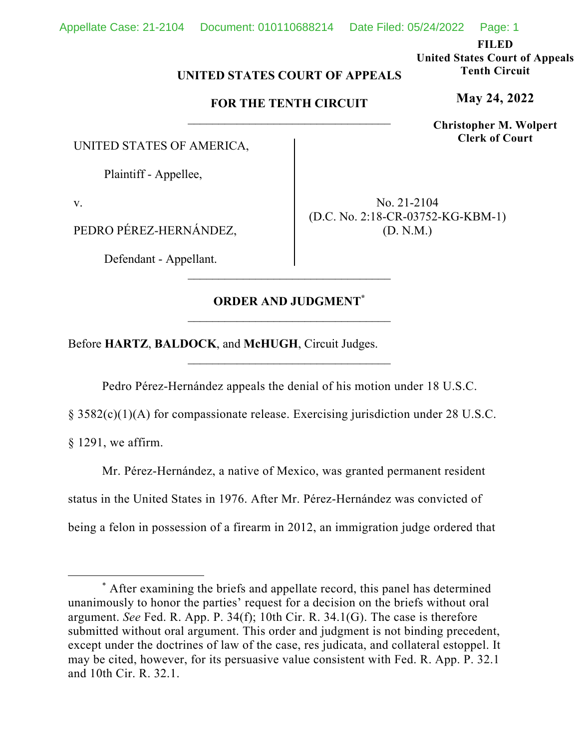**FILED** 

**United States Court of Appeals Tenth Circuit** 

**May 24, 2022**

**Christopher M. Wolpert Clerk of Court**

## **UNITED STATES COURT OF APPEALS**

## **FOR THE TENTH CIRCUIT**

UNITED STATES OF AMERICA,

Plaintiff - Appellee,

v.

PEDRO PÉREZ-HERNÁNDEZ,

Defendant - Appellant.

No. 21-2104 (D.C. No. 2:18-CR-03752-KG-KBM-1) (D. N.M.)

## **ORDER AND JUDGMENT\***

\_\_\_\_\_\_\_\_\_\_\_\_\_\_\_\_\_\_\_\_\_\_\_\_\_\_\_\_\_\_\_\_\_

Before **HARTZ**, **BALDOCK**, and **McHUGH**, Circuit Judges.

Pedro Pérez-Hernández appeals the denial of his motion under 18 U.S.C.

§ 3582(c)(1)(A) for compassionate release. Exercising jurisdiction under 28 U.S.C.

§ 1291, we affirm.

Mr. Pérez-Hernández, a native of Mexico, was granted permanent resident status in the United States in 1976. After Mr. Pérez-Hernández was convicted of being a felon in possession of a firearm in 2012, an immigration judge ordered that

<sup>\*</sup> After examining the briefs and appellate record, this panel has determined unanimously to honor the parties' request for a decision on the briefs without oral argument. *See* Fed. R. App. P. 34(f); 10th Cir. R. 34.1(G). The case is therefore submitted without oral argument. This order and judgment is not binding precedent, except under the doctrines of law of the case, res judicata, and collateral estoppel. It may be cited, however, for its persuasive value consistent with Fed. R. App. P. 32.1 and 10th Cir. R. 32.1.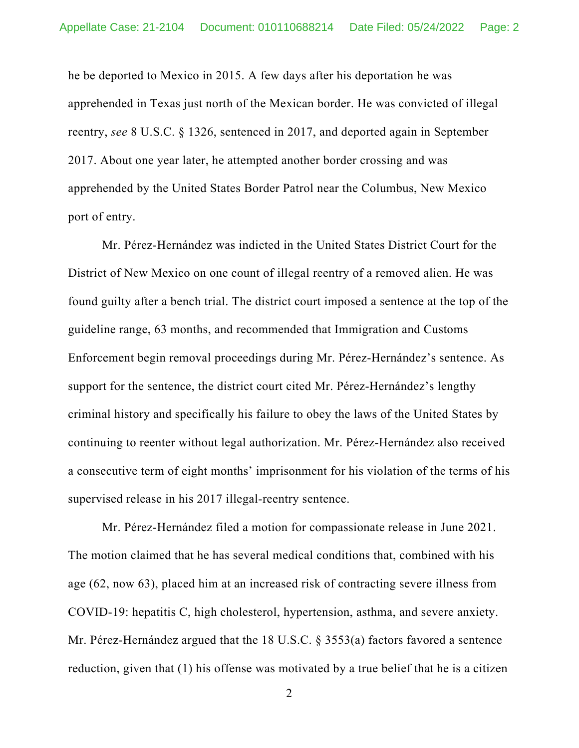he be deported to Mexico in 2015. A few days after his deportation he was apprehended in Texas just north of the Mexican border. He was convicted of illegal reentry, *see* 8 U.S.C. § 1326, sentenced in 2017, and deported again in September 2017. About one year later, he attempted another border crossing and was apprehended by the United States Border Patrol near the Columbus, New Mexico port of entry.

Mr. Pérez-Hernández was indicted in the United States District Court for the District of New Mexico on one count of illegal reentry of a removed alien. He was found guilty after a bench trial. The district court imposed a sentence at the top of the guideline range, 63 months, and recommended that Immigration and Customs Enforcement begin removal proceedings during Mr. Pérez-Hernández's sentence. As support for the sentence, the district court cited Mr. Pérez-Hernández's lengthy criminal history and specifically his failure to obey the laws of the United States by continuing to reenter without legal authorization. Mr. Pérez-Hernández also received a consecutive term of eight months' imprisonment for his violation of the terms of his supervised release in his 2017 illegal-reentry sentence.

Mr. Pérez-Hernández filed a motion for compassionate release in June 2021. The motion claimed that he has several medical conditions that, combined with his age (62, now 63), placed him at an increased risk of contracting severe illness from COVID-19: hepatitis C, high cholesterol, hypertension, asthma, and severe anxiety. Mr. Pérez-Hernández argued that the 18 U.S.C. § 3553(a) factors favored a sentence reduction, given that (1) his offense was motivated by a true belief that he is a citizen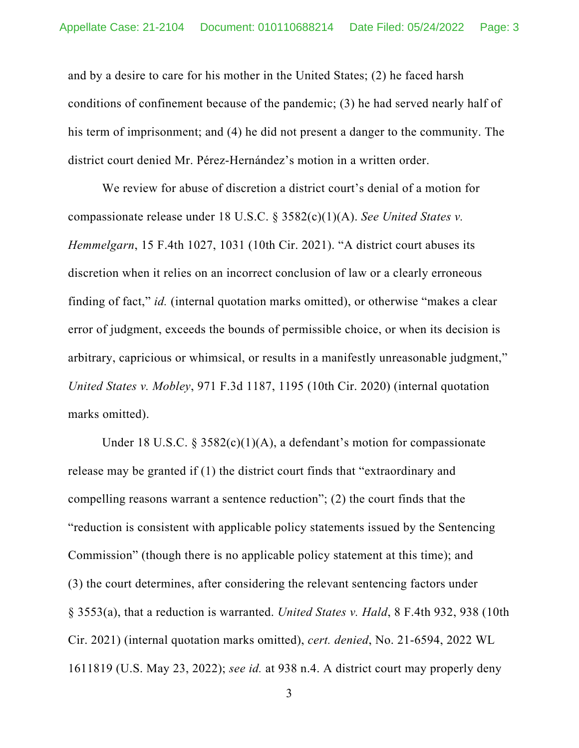and by a desire to care for his mother in the United States; (2) he faced harsh conditions of confinement because of the pandemic; (3) he had served nearly half of his term of imprisonment; and (4) he did not present a danger to the community. The district court denied Mr. Pérez-Hernández's motion in a written order.

We review for abuse of discretion a district court's denial of a motion for compassionate release under 18 U.S.C. § 3582(c)(1)(A). *See United States v. Hemmelgarn*, 15 F.4th 1027, 1031 (10th Cir. 2021). "A district court abuses its discretion when it relies on an incorrect conclusion of law or a clearly erroneous finding of fact," *id.* (internal quotation marks omitted), or otherwise "makes a clear error of judgment, exceeds the bounds of permissible choice, or when its decision is arbitrary, capricious or whimsical, or results in a manifestly unreasonable judgment," *United States v. Mobley*, 971 F.3d 1187, 1195 (10th Cir. 2020) (internal quotation marks omitted).

Under 18 U.S.C.  $\frac{2582(c)(1)(A)}{2}$ , a defendant's motion for compassionate release may be granted if (1) the district court finds that "extraordinary and compelling reasons warrant a sentence reduction"; (2) the court finds that the "reduction is consistent with applicable policy statements issued by the Sentencing Commission" (though there is no applicable policy statement at this time); and (3) the court determines, after considering the relevant sentencing factors under § 3553(a), that a reduction is warranted. *United States v. Hald*, 8 F.4th 932, 938 (10th Cir. 2021) (internal quotation marks omitted), *cert. denied*, No. 21-6594, 2022 WL 1611819 (U.S. May 23, 2022); *see id.* at 938 n.4. A district court may properly deny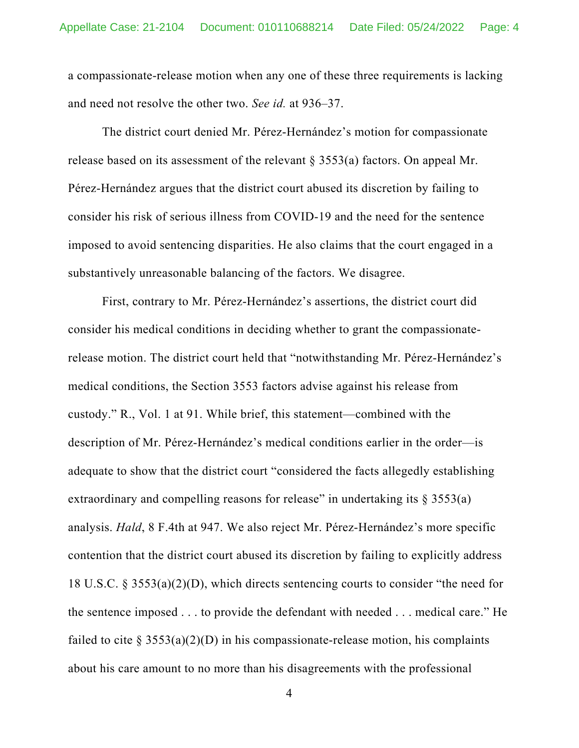a compassionate-release motion when any one of these three requirements is lacking and need not resolve the other two. *See id.* at 936–37.

The district court denied Mr. Pérez-Hernández's motion for compassionate release based on its assessment of the relevant § 3553(a) factors. On appeal Mr. Pérez-Hernández argues that the district court abused its discretion by failing to consider his risk of serious illness from COVID-19 and the need for the sentence imposed to avoid sentencing disparities. He also claims that the court engaged in a substantively unreasonable balancing of the factors. We disagree.

First, contrary to Mr. Pérez-Hernández's assertions, the district court did consider his medical conditions in deciding whether to grant the compassionaterelease motion. The district court held that "notwithstanding Mr. Pérez-Hernández's medical conditions, the Section 3553 factors advise against his release from custody." R., Vol. 1 at 91. While brief, this statement—combined with the description of Mr. Pérez-Hernández's medical conditions earlier in the order—is adequate to show that the district court "considered the facts allegedly establishing extraordinary and compelling reasons for release" in undertaking its  $\S 3553(a)$ analysis. *Hald*, 8 F.4th at 947. We also reject Mr. Pérez-Hernández's more specific contention that the district court abused its discretion by failing to explicitly address 18 U.S.C. § 3553(a)(2)(D), which directs sentencing courts to consider "the need for the sentence imposed . . . to provide the defendant with needed . . . medical care." He failed to cite § 3553(a)(2)(D) in his compassionate-release motion, his complaints about his care amount to no more than his disagreements with the professional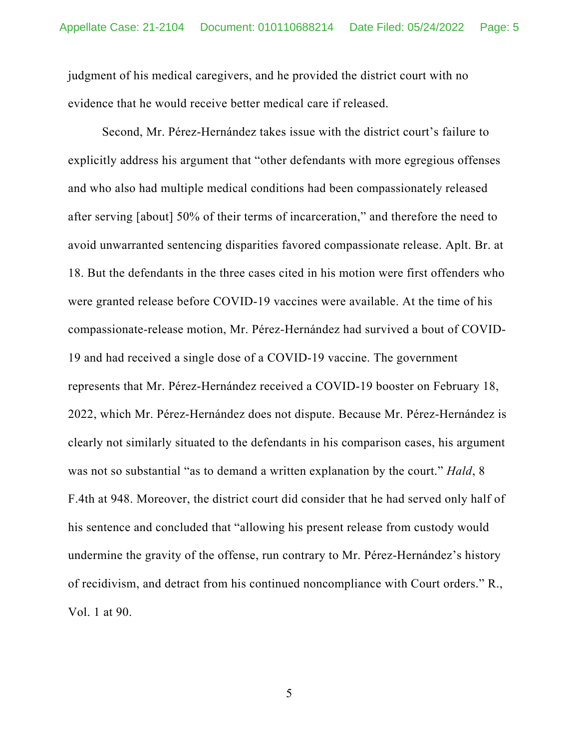judgment of his medical caregivers, and he provided the district court with no evidence that he would receive better medical care if released.

Second, Mr. Pérez-Hernández takes issue with the district court's failure to explicitly address his argument that "other defendants with more egregious offenses and who also had multiple medical conditions had been compassionately released after serving [about] 50% of their terms of incarceration," and therefore the need to avoid unwarranted sentencing disparities favored compassionate release. Aplt. Br. at 18. But the defendants in the three cases cited in his motion were first offenders who were granted release before COVID-19 vaccines were available. At the time of his compassionate-release motion, Mr. Pérez-Hernández had survived a bout of COVID-19 and had received a single dose of a COVID-19 vaccine. The government represents that Mr. Pérez-Hernández received a COVID-19 booster on February 18, 2022, which Mr. Pérez-Hernández does not dispute. Because Mr. Pérez-Hernández is clearly not similarly situated to the defendants in his comparison cases, his argument was not so substantial "as to demand a written explanation by the court." *Hald*, 8 F.4th at 948. Moreover, the district court did consider that he had served only half of his sentence and concluded that "allowing his present release from custody would undermine the gravity of the offense, run contrary to Mr. Pérez-Hernández's history of recidivism, and detract from his continued noncompliance with Court orders." R., Vol. 1 at 90.

5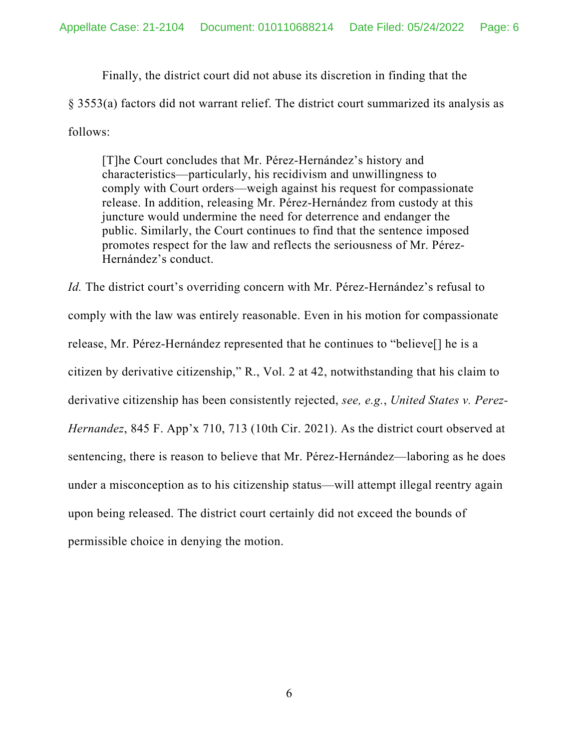Finally, the district court did not abuse its discretion in finding that the § 3553(a) factors did not warrant relief. The district court summarized its analysis as follows:

[T]he Court concludes that Mr. Pérez-Hernández's history and characteristics—particularly, his recidivism and unwillingness to comply with Court orders—weigh against his request for compassionate release. In addition, releasing Mr. Pérez-Hernández from custody at this juncture would undermine the need for deterrence and endanger the public. Similarly, the Court continues to find that the sentence imposed promotes respect for the law and reflects the seriousness of Mr. Pérez-Hernández's conduct.

*Id.* The district court's overriding concern with Mr. Pérez-Hernández's refusal to comply with the law was entirely reasonable. Even in his motion for compassionate release, Mr. Pérez-Hernández represented that he continues to "believe[] he is a citizen by derivative citizenship," R., Vol. 2 at 42, notwithstanding that his claim to derivative citizenship has been consistently rejected, *see, e.g.*, *United States v. Perez-Hernandez*, 845 F. App'x 710, 713 (10th Cir. 2021). As the district court observed at sentencing, there is reason to believe that Mr. Pérez-Hernández—laboring as he does under a misconception as to his citizenship status—will attempt illegal reentry again upon being released. The district court certainly did not exceed the bounds of permissible choice in denying the motion.